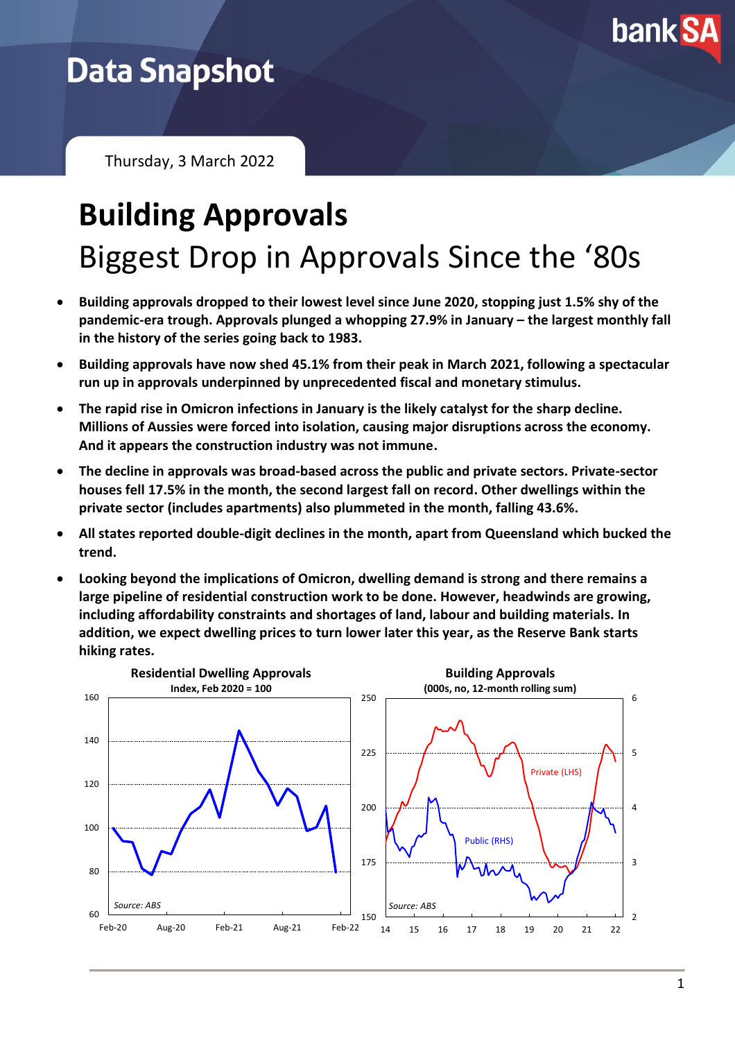

## **Data Snapshot**

Thursday, 3 March 2022

# **Building Approvals** Biggest Drop in Approvals Since the '80s

- **Building approvals dropped to their lowest level since June 2020, stopping just 1.5% shy of the pandemic-era trough. Approvals plunged a whopping 27.9% in January – the largest monthly fall in the history of the series going back to 1983.**
- **Building approvals have now shed 45.1% from their peak in March 2021, following a spectacular run up in approvals underpinned by unprecedented fiscal and monetary stimulus.**
- **The rapid rise in Omicron infections in January is the likely catalyst for the sharp decline. Millions of Aussies were forced into isolation, causing major disruptions across the economy. And it appears the construction industry was not immune.**
- **The decline in approvals was broad-based across the public and private sectors. Private-sector houses fell 17.5% in the month, the second largest fall on record. Other dwellings within the private sector (includes apartments) also plummeted in the month, falling 43.6%.**
- **All states reported double-digit declines in the month, apart from Queensland which bucked the trend.**
- **Looking beyond the implications of Omicron, dwelling demand is strong and there remains a large pipeline of residential construction work to be done. However, headwinds are growing, including affordability constraints and shortages of land, labour and building materials. In addition, we expect dwelling prices to turn lower later this year, as the Reserve Bank starts hiking rates.**

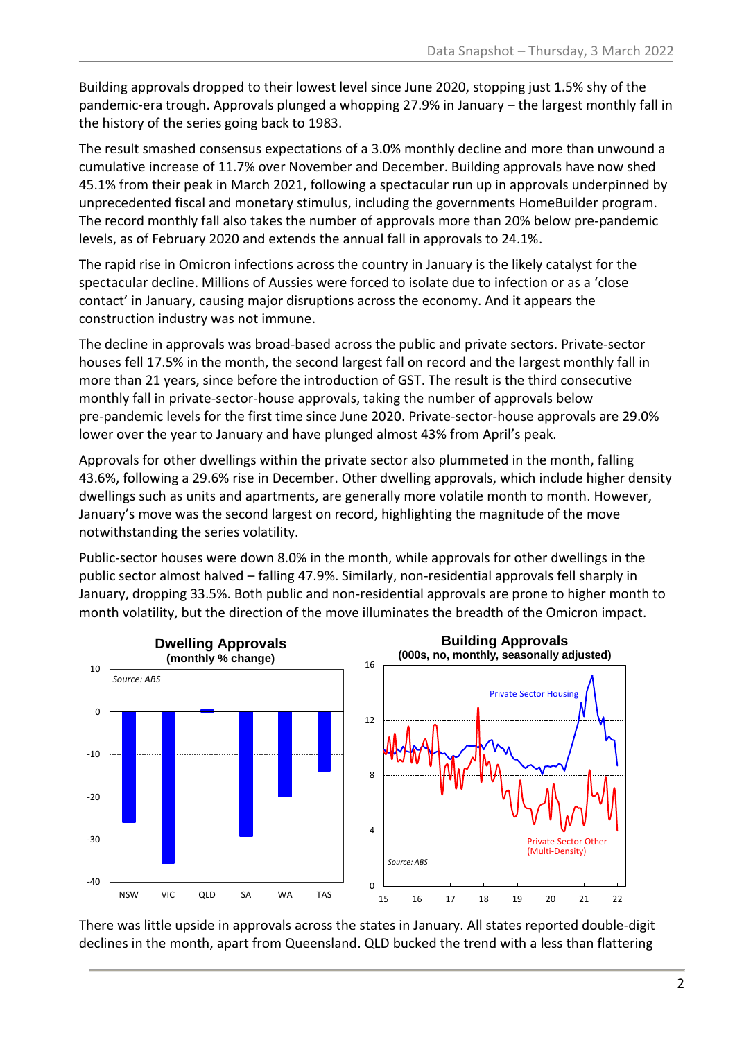Building approvals dropped to their lowest level since June 2020, stopping just 1.5% shy of the pandemic-era trough. Approvals plunged a whopping 27.9% in January – the largest monthly fall in the history of the series going back to 1983.

The result smashed consensus expectations of a 3.0% monthly decline and more than unwound a cumulative increase of 11.7% over November and December. Building approvals have now shed 45.1% from their peak in March 2021, following a spectacular run up in approvals underpinned by unprecedented fiscal and monetary stimulus, including the governments HomeBuilder program. The record monthly fall also takes the number of approvals more than 20% below pre-pandemic levels, as of February 2020 and extends the annual fall in approvals to 24.1%.

The rapid rise in Omicron infections across the country in January is the likely catalyst for the spectacular decline. Millions of Aussies were forced to isolate due to infection or as a 'close contact' in January, causing major disruptions across the economy. And it appears the construction industry was not immune.

The decline in approvals was broad-based across the public and private sectors. Private-sector houses fell 17.5% in the month, the second largest fall on record and the largest monthly fall in more than 21 years, since before the introduction of GST. The result is the third consecutive monthly fall in private-sector-house approvals, taking the number of approvals below pre-pandemic levels for the first time since June 2020. Private-sector-house approvals are 29.0% lower over the year to January and have plunged almost 43% from April's peak.

Approvals for other dwellings within the private sector also plummeted in the month, falling 43.6%, following a 29.6% rise in December. Other dwelling approvals, which include higher density dwellings such as units and apartments, are generally more volatile month to month. However, January's move was the second largest on record, highlighting the magnitude of the move notwithstanding the series volatility.

Public-sector houses were down 8.0% in the month, while approvals for other dwellings in the public sector almost halved – falling 47.9%. Similarly, non-residential approvals fell sharply in January, dropping 33.5%. Both public and non-residential approvals are prone to higher month to month volatility, but the direction of the move illuminates the breadth of the Omicron impact.



There was little upside in approvals across the states in January. All states reported double-digit declines in the month, apart from Queensland. QLD bucked the trend with a less than flattering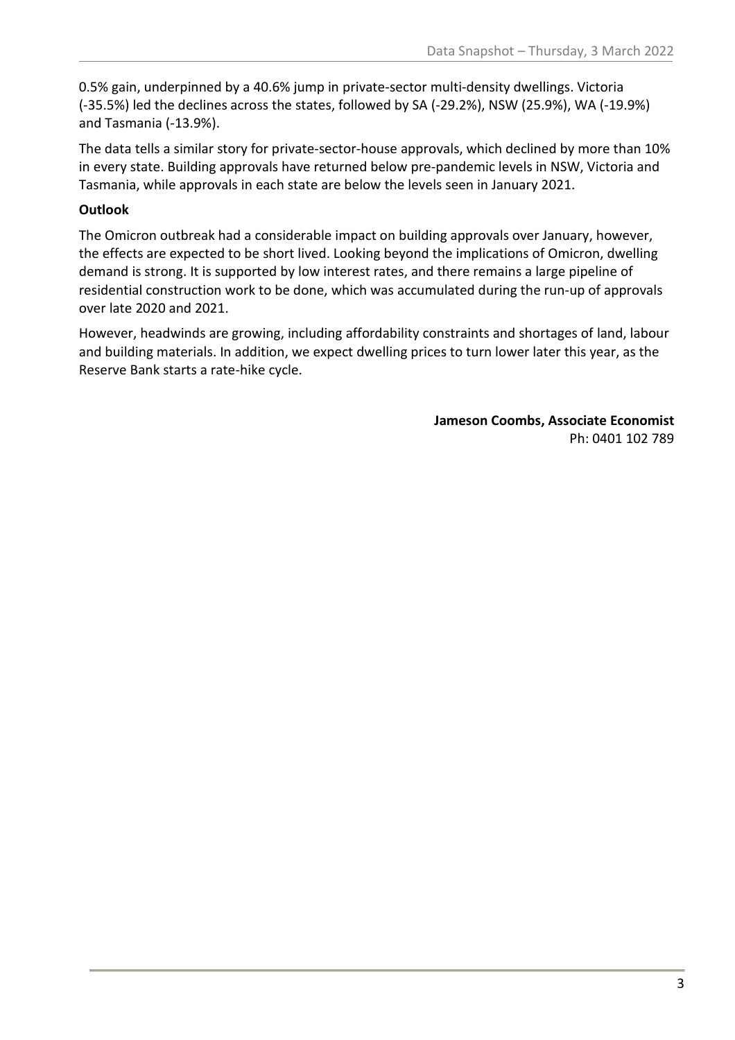0.5% gain, underpinned by a 40.6% jump in private-sector multi-density dwellings. Victoria (-35.5%) led the declines across the states, followed by SA (-29.2%), NSW (25.9%), WA (-19.9%) and Tasmania (-13.9%).

The data tells a similar story for private-sector-house approvals, which declined by more than 10% in every state. Building approvals have returned below pre-pandemic levels in NSW, Victoria and Tasmania, while approvals in each state are below the levels seen in January 2021.

### **Outlook**

The Omicron outbreak had a considerable impact on building approvals over January, however, the effects are expected to be short lived. Looking beyond the implications of Omicron, dwelling demand is strong. It is supported by low interest rates, and there remains a large pipeline of residential construction work to be done, which was accumulated during the run-up of approvals over late 2020 and 2021.

However, headwinds are growing, including affordability constraints and shortages of land, labour and building materials. In addition, we expect dwelling prices to turn lower later this year, as the Reserve Bank starts a rate-hike cycle.

> **Jameson Coombs, Associate Economist** Ph: 0401 102 789